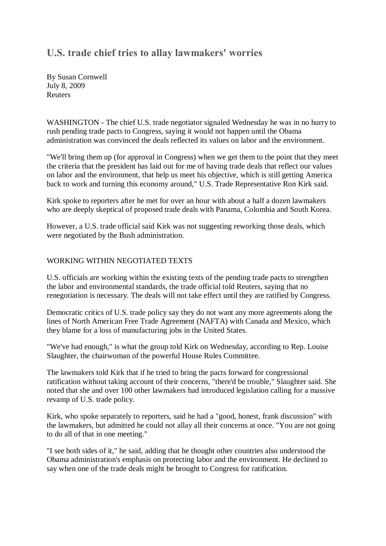## **U.S. trade chief tries to allay lawmakers' worries**

By Susan Cornwell July 8, 2009 Reuters

WASHINGTON - The chief U.S. trade negotiator signaled Wednesday he was in no hurry to rush pending trade pacts to Congress, saying it would not happen until the Obama administration was convinced the deals reflected its values on labor and the environment.

"We'll bring them up (for approval in Congress) when we get them to the point that they meet the criteria that the president has laid out for me of having trade deals that reflect our values on labor and the environment, that help us meet his objective, which is still getting America back to work and turning this economy around," U.S. Trade Representative Ron Kirk said.

Kirk spoke to reporters after he met for over an hour with about a half a dozen lawmakers who are deeply skeptical of proposed trade deals with Panama, Colombia and South Korea.

However, a U.S. trade official said Kirk was not suggesting reworking those deals, which were negotiated by the Bush administration.

## WORKING WITHIN NEGOTIATED TEXTS

U.S. officials are working within the existing texts of the pending trade pacts to strengthen the labor and environmental standards, the trade official told Reuters, saying that no renegotiation is necessary. The deals will not take effect until they are ratified by Congress.

Democratic critics of U.S. trade policy say they do not want any more agreements along the lines of North American Free Trade Agreement (NAFTA) with Canada and Mexico, which they blame for a loss of manufacturing jobs in the United States.

"We've had enough," is what the group told Kirk on Wednesday, according to Rep. Louise Slaughter, the chairwoman of the powerful House Rules Committee.

The lawmakers told Kirk that if he tried to bring the pacts forward for congressional ratification without taking account of their concerns, "there'd be trouble," Slaughter said. She noted that she and over 100 other lawmakers had introduced legislation calling for a massive revamp of U.S. trade policy.

Kirk, who spoke separately to reporters, said he had a "good, honest, frank discussion" with the lawmakers, but admitted he could not allay all their concerns at once. "You are not going to do all of that in one meeting."

"I see both sides of it," he said, adding that he thought other countries also understood the Obama administration's emphasis on protecting labor and the environment. He declined to say when one of the trade deals might be brought to Congress for ratification.